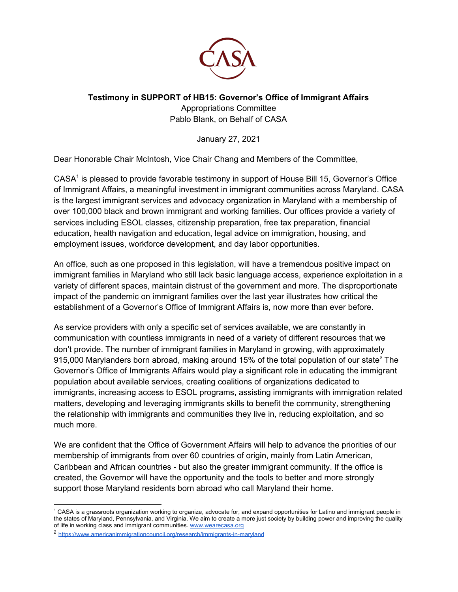

## **Testimony in SUPPORT of HB15: Governor's Office of Immigrant Affairs**

Appropriations Committee Pablo Blank, on Behalf of CASA

January 27, 2021

Dear Honorable Chair McIntosh, Vice Chair Chang and Members of the Committee,

CASA<sup>1</sup> is pleased to provide favorable testimony in support of House Bill 15, Governor's Office of Immigrant Affairs, a meaningful investment in immigrant communities across Maryland. CASA is the largest immigrant services and advocacy organization in Maryland with a membership of over 100,000 black and brown immigrant and working families. Our offices provide a variety of services including ESOL classes, citizenship preparation, free tax preparation, financial education, health navigation and education, legal advice on immigration, housing, and employment issues, workforce development, and day labor opportunities.

An office, such as one proposed in this legislation, will have a tremendous positive impact on immigrant families in Maryland who still lack basic language access, experience exploitation in a variety of different spaces, maintain distrust of the government and more. The disproportionate impact of the pandemic on immigrant families over the last year illustrates how critical the establishment of a Governor's Office of Immigrant Affairs is, now more than ever before.

As service providers with only a specific set of services available, we are constantly in communication with countless immigrants in need of a variety of different resources that we don't provide. The number of immigrant families in Maryland in growing, with approximately 915,000 Marylanders born abroad, making around 15% of the total population of our state<sup>2</sup> The Governor's Office of Immigrants Affairs would play a significant role in educating the immigrant population about available services, creating coalitions of organizations dedicated to immigrants, increasing access to ESOL programs, assisting immigrants with immigration related matters, developing and leveraging immigrants skills to benefit the community, strengthening the relationship with immigrants and communities they live in, reducing exploitation, and so much more.

We are confident that the Office of Government Affairs will help to advance the priorities of our membership of immigrants from over 60 countries of origin, mainly from Latin American, Caribbean and African countries - but also the greater immigrant community. If the office is created, the Governor will have the opportunity and the tools to better and more strongly support those Maryland residents born abroad who call Maryland their home.

<sup>1</sup> CASA is a grassroots organization working to organize, advocate for, and expand opportunities for Latino and immigrant people in the states of Maryland, Pennsylvania, and Virginia. [W](http://www.wearecasa.org/)e aim to create a more just society by building power and improving the quality of life in working class and immigrant communities. [www.wearecasa.org](http://www.wearecasa.org/)

<sup>2</sup> <https://www.americanimmigrationcouncil.org/research/immigrants-in-maryland>